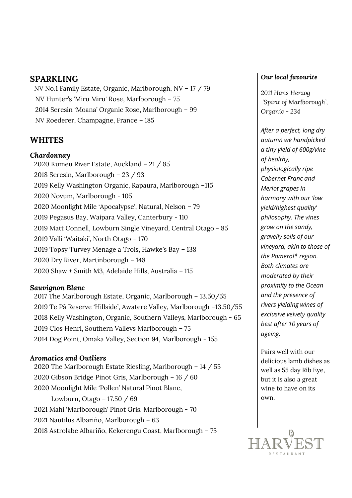### **SPARKLING**

NV No.1 Family Estate, Organic, Marlborough, NV – 17 / 79 NV Hunter's 'Miru Miru' Rose, Marlborough – 75 2014 Seresin 'Moana' Organic Rose, Marlborough – 99 NV Roederer, Champagne, France – 185

### **WHITES**

#### *Chardonnay*

2020 Kumeu River Estate, Auckland – 21 / 85 2018 Seresin, Marlborough – 23 / 93 2019 Kelly Washington Organic, Rapaura, Marlborough –115 2020 Novum, Marlborough - 105 2020 Moonlight Mile 'Apocalypse', Natural, Nelson – 79 2019 Pegasus Bay, Waipara Valley, Canterbury - 110 2019 Matt Connell, Lowburn Single Vineyard, Central Otago - 85 2019 Valli 'Waitaki', North Otago – 170 2019 Topsy Turvey Menage a Trois, Hawke's Bay – 138 2020 Dry River, Martinborough – 148 2020 Shaw + Smith M3, Adelaide Hills, Australia – 115

#### *Sauvignon Blanc*

2017 The Marlborough Estate, Organic, Marlborough – 13.50/55 2019 Te Pā Reserve 'Hillside', Awatere Valley, Marlborough –13.50/55 2018 Kelly Washington, Organic, Southern Valleys, Marlborough - 65 2019 Clos Henri, Southern Valleys Marlborough – 75 2014 Dog Point, Omaka Valley, Section 94, Marlborough - 155

#### *Aromatics and Outliers*

2020 The Marlborough Estate Riesling, Marlborough – 14 / 55 2020 Gibson Bridge Pinot Gris, Marlborough – 16 / 60 2020 Moonlight Mile 'Pollen' Natural Pinot Blanc, Lowburn, Otago – 17.50 / 69 2021 Mahi 'Marlborough' Pinot Gris, Marlborough - 70 2021 Nautilus Albariño, Marlborough – 63 2018 Astrolabe Albariño, Kekerengu Coast, Marlborough – 75

#### *Our local favourite*

*2011 Hans Herzog 'Spirit of Marlborough', Organic - 234*

*After a perfect, long dry autumn we handpicked a tiny yield of 600g/vine of healthy, physiologically ripe Cabernet Franc and Merlot grapes in harmony with our 'low yield/highest quality' philosophy. The vines grow on the sandy, gravelly soils of our vineyard, akin to those of the Pomerol\* region. Both climates are moderated by their proximity to the Ocean and the presence of rivers yielding wines of exclusive velvety quality best after 10 years of ageing.*

Pairs well with our delicious lamb dishes as well as 55 day Rib Eye, but it is also a great wine to have on its own.

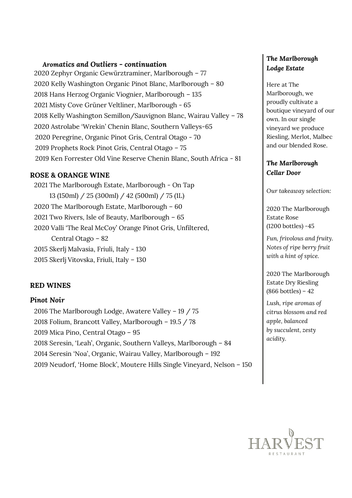#### *Aromatics and Outliers - continuation*

2020 Zephyr Organic Gewürztraminer, Marlborough – 77 2020 Kelly Washington Organic Pinot Blanc, Marlborough – 80 2018 Hans Herzog Organic Viognier, Marlborough – 135 2021 Misty Cove Grüner Veltliner, Marlborough - 65 2018 Kelly Washington Semillon/Sauvignon Blanc, Wairau Valley – 78 2020 Astrolabe 'Wrekin' Chenin Blanc, Southern Valleys-65 2020 Peregrine, Organic Pinot Gris, Central Otago - 70 2019 Prophets Rock Pinot Gris, Central Otago – 75 2019 Ken Forrester Old Vine Reserve Chenin Blanc, South Africa - 81

#### **ROSE & ORANGE WINE**

2021 The Marlborough Estate, Marlborough - On Tap 13 (150ml) / 25 (300ml) / 42 (500ml) / 75 (1L) 2020 The Marlborough Estate, Marlborough – 60 2021 Two Rivers, Isle of Beauty, Marlborough – 65 2020 Valli 'The Real McCoy' Orange Pinot Gris, Unfiltered, Central Otago – 82 2015 Skerlj Malvasia, Friuli, Italy - 130 2015 Skerlj Vitovska, Friuli, Italy – 130

#### **RED WINES**

#### *Pinot Noir*

2016 The Marlborough Lodge, Awatere Valley – 19 / 75 2018 Folium, Brancott Valley, Marlborough – 19.5 / 78 2019 Mica Pino, Central Otago – 95 2018 Seresin, 'Leah', Organic, Southern Valleys, Marlborough – 84 2014 Seresin 'Noa', Organic, Wairau Valley, Marlborough – 192 2019 Neudorf, 'Home Block', Moutere Hills Single Vineyard, Nelson – 150

### *The Marlborough Lodge Estate*

Here at The Marlborough, we proudly cultivate a boutique vineyard of our own. In our single vineyard we produce Riesling, Merlot, Malbec and our blended Rose.

#### *The Marlborough Cellar Door*

*Our takeaway selection:*

2020 The Marlborough Estate Rose (1200 bottles) -45

*Fun, frivolous and fruity. Notes of ripe berry fruit with a hint of spice.*

2020 The Marlborough Estate Dry Riesling (866 bottles) – 42

*Lush, ripe aromas of citrus blossom and red apple, balanced by succulent, zesty acidity.*

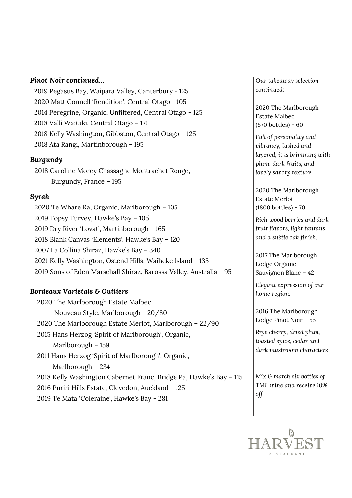#### *Pinot Noir continued…*

2019 Pegasus Bay, Waipara Valley, Canterbury - 125 2020 Matt Connell 'Rendition', Central Otago - 105 2014 Peregrine, Organic, Unfiltered, Central Otago - 125 2018 Valli Waitaki, Central Otago – 171 2018 Kelly Washington, Gibbston, Central Otago – 125 2018 Ata Rangi, Martinborough - 195

#### *Burgundy*

2018 Caroline Morey Chassagne Montrachet Rouge, Burgundy, France – 195

#### *Syrah*

2020 Te Whare Ra, Organic, Marlborough – 105 2019 Topsy Turvey, Hawke's Bay – 105 2019 Dry River 'Lovat', Martinborough - 165 2018 Blank Canvas 'Elements', Hawke's Bay – 120 2007 La Collina Shiraz, Hawke's Bay – 340 2021 Kelly Washington, Ostend Hills, Waiheke Island - 135 2019 Sons of Eden Marschall Shiraz, Barossa Valley, Australia - 95

#### *Bordeaux Varietals & Outliers*

2020 The Marlborough Estate Malbec, Nouveau Style, Marlborough - 20/80 2020 The Marlborough Estate Merlot, Marlborough – 22/90 2015 Hans Herzog 'Spirit of Marlborough', Organic, Marlborough – 159 2011 Hans Herzog 'Spirit of Marlborough', Organic, Marlborough – 234 2018 Kelly Washington Cabernet Franc, Bridge Pa, Hawke's Bay – 115 2016 Puriri Hills Estate, Clevedon, Auckland – 125 2019 Te Mata 'Coleraine', Hawke's Bay - 281

*Our takeaway selection continued:*

2020 The Marlborough Estate Malbec (670 bottles) - 60

*Full of personality and vibrancy, lushed and layered, it is brimming with plum, dark fruits, and lovely savory texture.*

2020 The Marlborough Estate Merlot (1800 bottles) - 70

*Rich wood berries and dark fruit flavors, light tannins and a subtle oak finish.* 

2017 The Marlborough Lodge Organic Sauvignon Blanc – 42

*Elegant expression of our home region.*

2016 The Marlborough Lodge Pinot Noir – 55

*Ripe cherry, dried plum, toasted spice, cedar and dark mushroom characters*

*Mix & match six bottles of TML wine and receive 10% off*

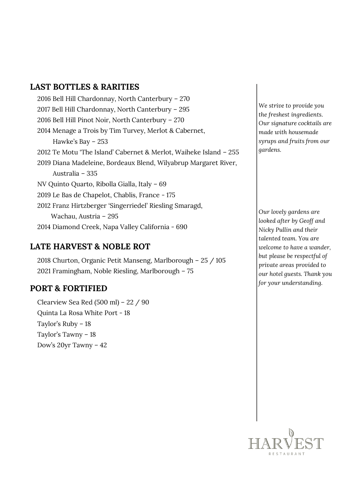# **LAST BOTTLES & RARITIES**

2016 Bell Hill Chardonnay, North Canterbury – 270 2017 Bell Hill Chardonnay, North Canterbury – 295 2016 Bell Hill Pinot Noir, North Canterbury – 270 2014 Menage a Trois by Tim Turvey, Merlot & Cabernet, Hawke's Bay – 253 2012 Te Motu 'The Island' Cabernet & Merlot, Waiheke Island – 255 2019 Diana Madeleine, Bordeaux Blend, Wilyabrup Margaret River, Australia – 335 NV Quinto Quarto, Ribolla Gialla, Italy – 69 2019 Le Bas de Chapelot, Chablis, France - 175 2012 Franz Hirtzberger 'Singerriedel' Riesling Smaragd, Wachau, Austria – 295 2014 Diamond Creek, Napa Valley California - 690

# **LATE HARVEST & NOBLE ROT**

2018 Churton, Organic Petit Manseng, Marlborough – 25 / 105 2021 Framingham, Noble Riesling, Marlborough – 75

# **PORT & FORTIFIED**

Clearview Sea Red (500 ml) – 22 / 90 Quinta La Rosa White Port - 18 Taylor's Ruby – 18 Taylor's Tawny – 18 Dow's 20yr Tawny – 42

*We strive to provide you the freshest ingredients. Our signature cocktails are made with housemade syrups and fruits from our gardens.* 

**O** *but please be respectful of*  **n** *private areas provided to*  **e**  *our hotel guests. Thank you* **o** *for your understanding.Our lovely gardens are looked after by Geoff and Nicky Pullin and their talented team. You are welcome to have a wander,* 

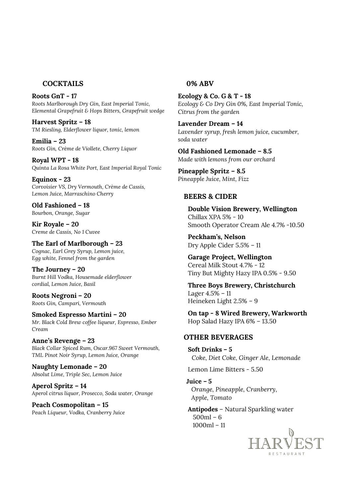#### **COCKTAILS**

**Roots GnT - 17** *Roots Marlborough Dry Gin, East Imperial Tonic, Elemental Grapefruit & Hops Bitters, Grapefruit wedge*

**Harvest Spritz – 18** *TM Riesling, Elderflower liquor, tonic, lemon*

**Emilia – 23** *Roots Gin, Crème de Viollete, Cherry Liquor*

**Royal WPT - 18** *Quinta La Rosa White Port, East Imperial Royal Tonic*

**Equinox - 23** *Corvoisier VS, Dry Vermouth, Crème de Cassis, Lemon Juice, Marraschino Cherry*

**Old Fashioned – 18** *Bourbon, Orange, Sugar*

**Kir Royale – 20** *Creme de Cassis, No 1 Cuvee*

**The Earl of Marlborough – 23** *Cognac, Earl Grey Syrup, Lemon juice, Egg white, Fennel from the garden*

**The Journey – 20** *Burnt Hill Vodka, Housemade elderflower cordial, Lemon Juice, Basil*

**Roots Negroni – 20** *Roots Gin, Campari, Vermouth*

**Smoked Espresso Martini – 20** *Mr. Black Cold Brew coffee liqueur, Espresso, Ember Cream*

**Anne's Revenge – 23** *Black Collar Spiced Rum, Oscar.967 Sweet Vermouth, TML Pinot Noir Syrup, Lemon Juice, Orange*

**Naughty Lemonade – 20** *Absolut Lime, Triple Sec, Lemon Juice*

**Aperol Spritz – 14** *Aperol citrus liquor, Prosecco, Soda water, Orange*

**Peach Cosmopolitan – 15** *Peach Liqueur, Vodka, Cranberry Juice*

#### **0% ABV**

**Ecology & Co. G & T - 18** *Ecology & Co Dry Gin 0%, East Imperial Tonic, Citrus from the garden*

**Lavender Dream – 14** *Lavender syrup, fresh lemon juice, cucumber, soda water*

**Old Fashioned Lemonade – 8.5** *Made with lemons from our orchard*

**Pineapple Spritz – 8.5** *Pineapple Juice, Mint, Fizz*

#### **BEERS & CIDER**

**Double Vision Brewery, Wellington** Chillax XPA 5% - 10 Smooth Operator Cream Ale 4.7% -10.50

**Peckham's, Nelson** Dry Apple Cider 5.5% – 11

**Garage Project, Wellington** Cereal Milk Stout 4.7% - 12 Tiny But Mighty Hazy IPA 0.5% - 9.50

**Three Boys Brewery, Christchurch** Lager 4.5% – 11 Heineken Light 2.5% – 9

**On tap - 8 Wired Brewery, Warkworth** Hop Salad Hazy IPA 6% – 13.50

#### **OTHER BEVERAGES**

**Soft Drinks – 5**  *Coke, Diet Coke, Ginger Ale, Lemonade*

Lemon Lime Bitters - 5.50

**Juice – 5**  *Orange, Pineapple, Cranberry, Apple, Tomato* 

**Antipodes** – Natural Sparkling water 500ml – 6 1000ml – 11